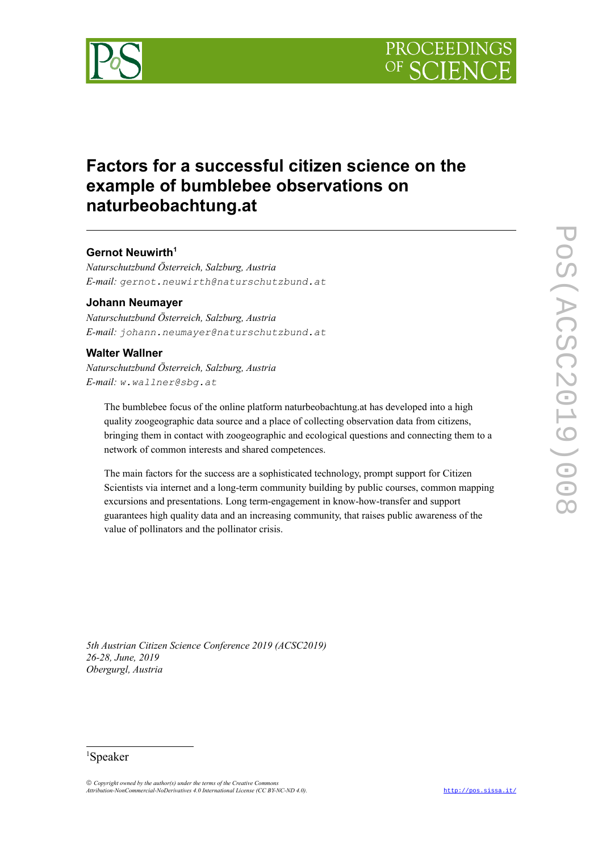



# **Factors for a successful citizen science on the example of bumblebee observations on naturbeobachtung.at**

# **Gernot Neuwirth[1](#page-0-0)**

*Naturschutzbund Österreich, Salzburg, Austria E-mail: gernot.neuwirth@naturschutzbund.at*

## **Johann Neumayer**

*Naturschutzbund Österreich, Salzburg, Austria E-mail: johann.neumayer@naturschutzbund.at*

# **Walter Wallner**

*Naturschutzbund Österreich, Salzburg, Austria E-mail: w.wallner@sbg.at*

The bumblebee focus of the online platform naturbeobachtung.at has developed into a high quality zoogeographic data source and a place of collecting observation data from citizens, bringing them in contact with zoogeographic and ecological questions and connecting them to a network of common interests and shared competences.

The main factors for the success are a sophisticated technology, prompt support for Citizen Scientists via internet and a long-term community building by public courses, common mapping excursions and presentations. Long term-engagement in know-how-transfer and support guarantees high quality data and an increasing community, that raises public awareness of the value of pollinators and the pollinator crisis.

*5th Austrian Citizen Science Conference 2019 (ACSC2019) 26-28, June, 2019 Obergurgl, Austria*

### <span id="page-0-0"></span><sup>1</sup>Speaker

 *Copyright owned by the author(s) under the terms of the Creative Commons Attribution-NonCommercial-NoDerivatives 4.0 International License (CC BY-NC-ND 4.0).* <http://pos.sissa.it/>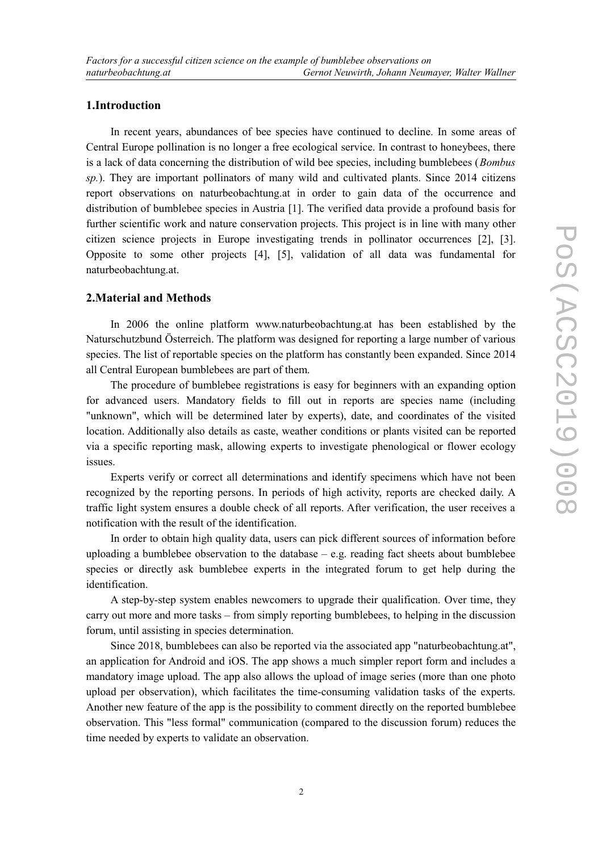## **1.Introduction**

In recent years, abundances of bee species have continued to decline. In some areas of Central Europe pollination is no longer a free ecological service. In contrast to honeybees, there is a lack of data concerning the distribution of wild bee species, including bumblebees (*Bombus sp.*). They are important pollinators of many wild and cultivated plants. Since 2014 citizens report observations on naturbeobachtung.at in order to gain data of the occurrence and distribution of bumblebee species in Austria [1]. The verified data provide a profound basis for further scientific work and nature conservation projects. This project is in line with many other citizen science projects in Europe investigating trends in pollinator occurrences [2], [3]. Opposite to some other projects [4], [5], validation of all data was fundamental for naturbeobachtung.at.

#### **2.Material and Methods**

In 2006 the online platform www.naturbeobachtung.at has been established by the Naturschutzbund Österreich. The platform was designed for reporting a large number of various species. The list of reportable species on the platform has constantly been expanded. Since 2014 all Central European bumblebees are part of them.

The procedure of bumblebee registrations is easy for beginners with an expanding option for advanced users. Mandatory fields to fill out in reports are species name (including "unknown", which will be determined later by experts), date, and coordinates of the visited location. Additionally also details as caste, weather conditions or plants visited can be reported via a specific reporting mask, allowing experts to investigate phenological or flower ecology issues.

Experts verify or correct all determinations and identify specimens which have not been recognized by the reporting persons. In periods of high activity, reports are checked daily. A traffic light system ensures a double check of all reports. After verification, the user receives a notification with the result of the identification.

In order to obtain high quality data, users can pick different sources of information before uploading a bumblebee observation to the database  $-$  e.g. reading fact sheets about bumblebee species or directly ask bumblebee experts in the integrated forum to get help during the identification.

A step-by-step system enables newcomers to upgrade their qualification. Over time, they carry out more and more tasks – from simply reporting bumblebees, to helping in the discussion forum, until assisting in species determination.

Since 2018, bumblebees can also be reported via the associated app "naturbeobachtung.at", an application for Android and iOS. The app shows a much simpler report form and includes a mandatory image upload. The app also allows the upload of image series (more than one photo upload per observation), which facilitates the time-consuming validation tasks of the experts. Another new feature of the app is the possibility to comment directly on the reported bumblebee observation. This "less formal" communication (compared to the discussion forum) reduces the time needed by experts to validate an observation.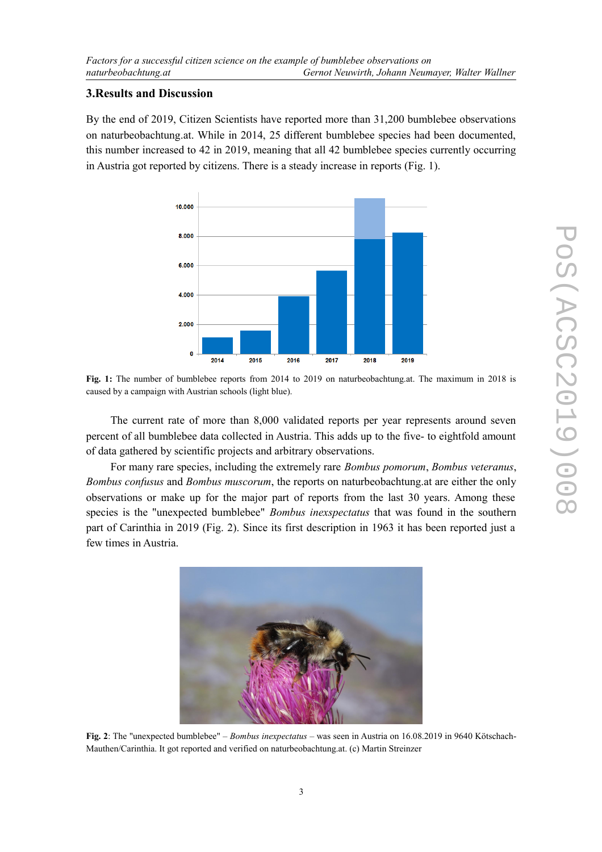## **3.Results and Discussion**

By the end of 2019, Citizen Scientists have reported more than 31,200 bumblebee observations on naturbeobachtung.at. While in 2014, 25 different bumblebee species had been documented, this number increased to 42 in 2019, meaning that all 42 bumblebee species currently occurring in Austria got reported by citizens. There is a steady increase in reports (Fig. 1).



**Fig. 1:** The number of bumblebee reports from 2014 to 2019 on naturbeobachtung.at. The maximum in 2018 is caused by a campaign with Austrian schools (light blue).

The current rate of more than 8,000 validated reports per year represents around seven percent of all bumblebee data collected in Austria. This adds up to the five- to eightfold amount of data gathered by scientific projects and arbitrary observations.

For many rare species, including the extremely rare *Bombus pomorum*, *Bombus veteranus*, *Bombus confusus* and *Bombus muscorum*, the reports on naturbeobachtung.at are either the only observations or make up for the major part of reports from the last 30 years. Among these species is the "unexpected bumblebee" *Bombus inexspectatus* that was found in the southern part of Carinthia in 2019 (Fig. 2). Since its first description in 1963 it has been reported just a few times in Austria.



**Fig. 2**: The "unexpected bumblebee" – *Bombus inexpectatus* – was seen in Austria on 16.08.2019 in 9640 Kötschach-Mauthen/Carinthia. It got reported and verified on naturbeobachtung.at. (c) Martin Streinzer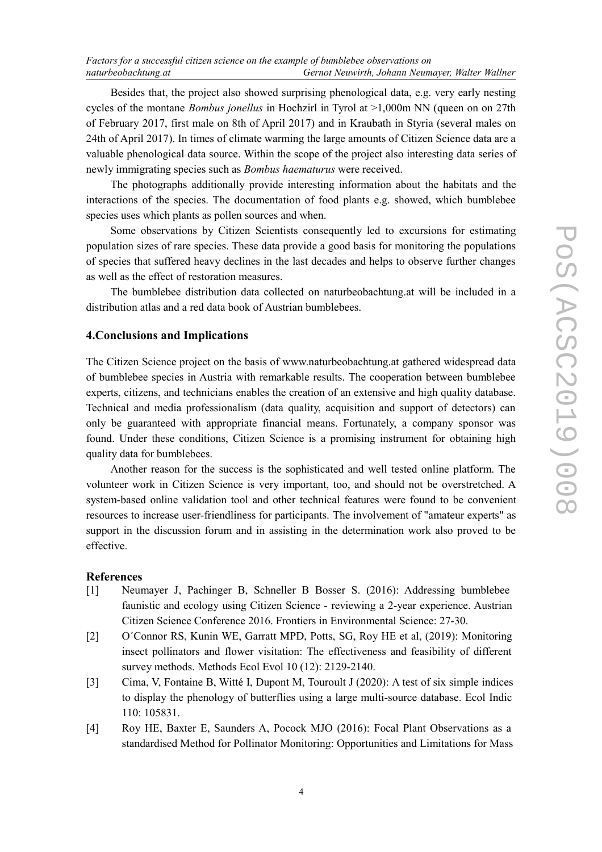Besides that, the project also showed surprising phenological data, e.g. very early nesting cycles of the montane *Bombus jonellus* in Hochzirl in Tyrol at >1,000m NN (queen on on 27th of February 2017, first male on 8th of April 2017) and in Kraubath in Styria (several males on 24th of April 2017). In times of climate warming the large amounts of Citizen Science data are a valuable phenological data source. Within the scope of the project also interesting data series of newly immigrating species such as *Bombus haematurus* were received.

The photographs additionally provide interesting information about the habitats and the interactions of the species. The documentation of food plants e.g. showed, which bumblebee species uses which plants as pollen sources and when.

Some observations by Citizen Scientists consequently led to excursions for estimating population sizes of rare species. These data provide a good basis for monitoring the populations of species that suffered heavy declines in the last decades and helps to observe further changes as well as the effect of restoration measures.

The bumblebee distribution data collected on naturbeobachtung.at will be included in a distribution atlas and a red data book of Austrian bumblebees.

# **4.Conclusions and Implications**

The Citizen Science project on the basis of www.naturbeobachtung.at gathered widespread data of bumblebee species in Austria with remarkable results. The cooperation between bumblebee experts, citizens, and technicians enables the creation of an extensive and high quality database. Technical and media professionalism (data quality, acquisition and support of detectors) can only be guaranteed with appropriate financial means. Fortunately, a company sponsor was found. Under these conditions, Citizen Science is a promising instrument for obtaining high quality data for bumblebees.

Another reason for the success is the sophisticated and well tested online platform. The volunteer work in Citizen Science is very important, too, and should not be overstretched. A system-based online validation tool and other technical features were found to be convenient resources to increase user-friendliness for participants. The involvement of "amateur experts" as support in the discussion forum and in assisting in the determination work also proved to be effective.

#### **References**

- [1] Neumayer J, Pachinger B, Schneller B Bosser S. (2016): Addressing bumblebee faunistic and ecology using Citizen Science - reviewing a 2-year experience. Austrian Citizen Science Conference 2016. Frontiers in Environmental Science: 27-30.
- [2] O´Connor RS, Kunin WE, Garratt MPD, Potts, SG, Roy HE et al, (2019): Monitoring insect pollinators and flower visitation: The effectiveness and feasibility of different survey methods. Methods Ecol Evol 10 (12): 2129-2140.
- [3] Cima, V, Fontaine B, Witté I, Dupont M, Touroult J (2020): A test of six simple indices to display the phenology of butterflies using a large multi-source database. Ecol Indic 110: 105831.
- [4] Roy HE, Baxter E, Saunders A, Pocock MJO (2016): Focal Plant Observations as a standardised Method for Pollinator Monitoring: Opportunities and Limitations for Mass